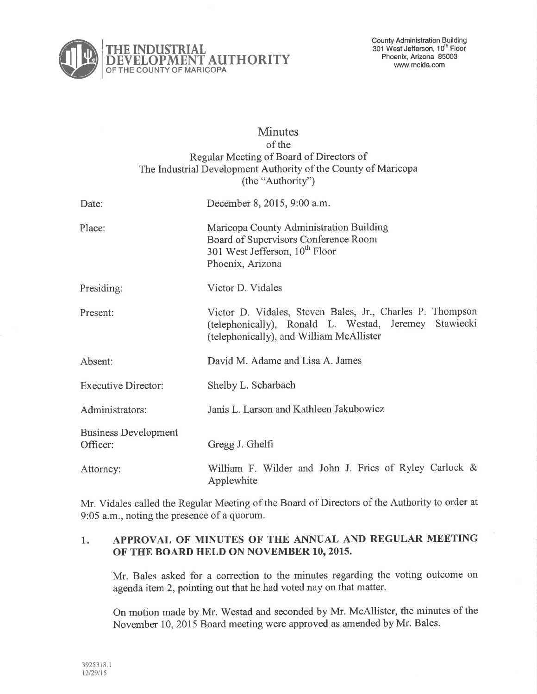

# **Minutes** of the Regular Meeting of Board of Directors of The Industrial Development Authority of the County of Maricopa (the "Authority")

| Date:                                   | December 8, 2015, 9:00 a.m.                                                                                                                                    |
|-----------------------------------------|----------------------------------------------------------------------------------------------------------------------------------------------------------------|
| Place:                                  | Maricopa County Administration Building<br>Board of Supervisors Conference Room<br>301 West Jefferson, 10 <sup>th</sup> Floor<br>Phoenix, Arizona              |
| Presiding:                              | Victor D. Vidales                                                                                                                                              |
| Present:                                | Victor D. Vidales, Steven Bales, Jr., Charles P. Thompson<br>(telephonically), Ronald L. Westad, Jeremey Stawiecki<br>(telephonically), and William McAllister |
| Absent:                                 | David M. Adame and Lisa A. James                                                                                                                               |
| <b>Executive Director:</b>              | Shelby L. Scharbach                                                                                                                                            |
| Administrators:                         | Janis L. Larson and Kathleen Jakubowicz                                                                                                                        |
| <b>Business Development</b><br>Officer: | Gregg J. Ghelfi                                                                                                                                                |
| Attorney:                               | William F. Wilder and John J. Fries of Ryley Carlock &<br>Applewhite                                                                                           |

Mr. Vidales called the Regular Meeting of the Board of Directors of the Authority to order at 9:05 a.m., noting the presence of a quorum.

#### $1.$ APPROVAL OF MINUTES OF THE ANNUAL AND REGULAR MEETING OF THE BOARD HELD ON NOVEMBER 10, 2015.

Mr. Bales asked for a correction to the minutes regarding the voting outcomg on agenda item2, pointing out that he had voted nay on that matter.

On motion made by Mr. Westad and seconded by Mr. McAllister, the minutes of the November 10,2015 Board meeting were approved as amended by Mr. Bales.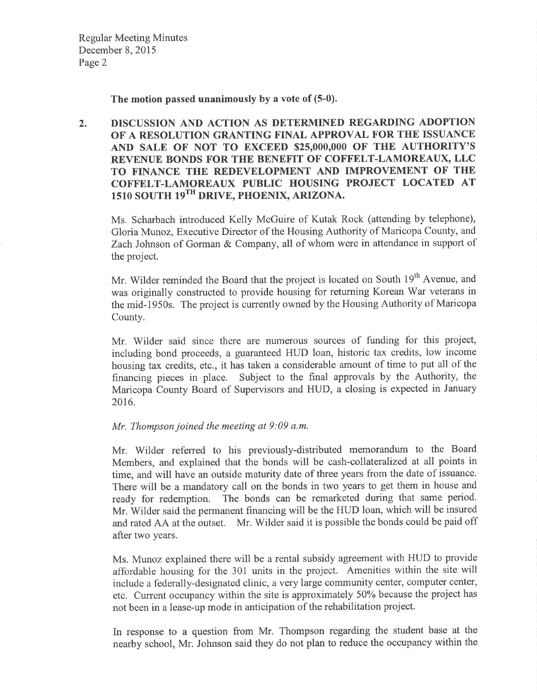Regular Meeting Minutes December 8, 2015 Page 2

The motion passed unanimously by a vote of (5-0).

2. DISCUSSION AND ACTION AS DETERMINED REGARDING ADOPTION OF A RESOLUTION GRANTING FINAL APPROVAL FOR THE ISSUANCE AND SALE OF NOT TO EXCEED \$25,000,000 OF THE AUTHORITY'S REVENUE BONDS FOR THE BENEFIT OF COFFELT-LAMOREAUX, LLC TO FINANCE THE REDEVELOPMENT AND IMPROVEMENT OF THE COFFELT-LAMOREAUX PUBLIC HOUSING PROJECT LOCATED AT 1510 SOUTH 19<sup>TH</sup> DRIVE, PHOENIX, ARIZONA.

Ms. Scharbach introduced Kelly McGuire of Kutak Rock (attending by telephone), Gloria Munoz, Executive Director of the Housing Authority of Maricopa County, and Zach Johnson of Gorman & Company, all of whom were in attendance in support of the project.

Mr. Wilder reminded the Board that the project is located on South 19<sup>th</sup> Avenue, and was originally constructed to provide housing for returning Korean War veterans in the mid-1950s. The project is currently owned by the Housing Authority of Maricopa County.

Mr. Wilder said since there are numerous sources of funding for this project, including bond proceeds, a guaranteed HUD loan, historic tax credits, low income housing tax credits, etc., it has taken a considerable amount of time to put all of the financing pieces in place. Subject to the final approvals by the Authority, the Maricopa County Board of Supervisors and HUD, a closing is expected in January 2016.

## Mr. Thompson joined the meeting at 9:09 a.m.

Mr. Wilder referred to his previously-distributed memorandum to the Board Members, and explained that the bonds will be cash-collateralized at all points in time, and will have an outside maturity date of three years from the date of issuance. There will be a mandatory call on the bonds in two years to get them in house and ready for redemption. The bonds can be remarketed during that same period. Mr. Wilder said the permanent financing will be the HUD loan, which will be insured and rated AA at the outset. Mr. Wilder said it is possible the bonds could be paid off after two years.

Ms. Munoz explained there will be a rental subsidy agreement with HUD to provide affordable housing for the 301 units in the project. Amenities within the site will include a federally-designated clinic, a very large community center, computer centet, etc. Current occupancy within the site is approximately 50% because the project has not been in a lease-up mode in anticipation of the rehabilitation project.

In response to a question from Mr. Thompson regarding the student base at the nearby school, Mr. Johnson said they do not plan to reduce the occupancy within the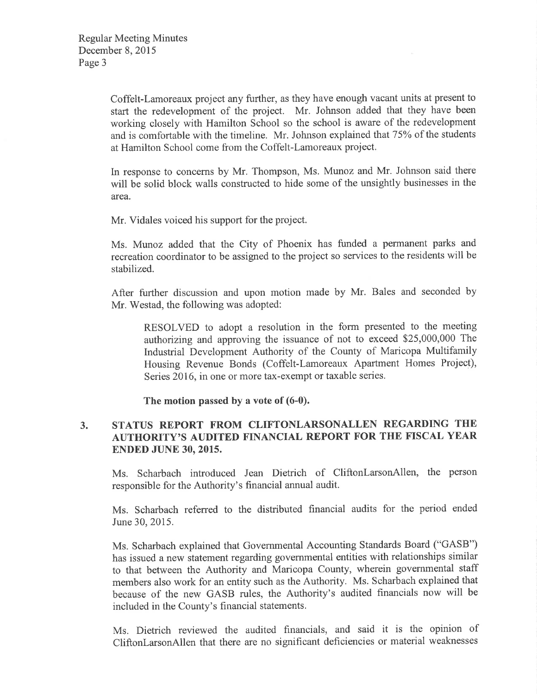Coffelt-Lamoreaux project any further, as they have enough vacant units at present to start the redevelopment of the project. Mr. Johnson added that they have been working closely with Hamilton School so the school is aware of the redevelopment and is comfortable with the timeline. Mr. Johnson explained that  $75\%$  of the students at Hamilton School come from the Coffelt-Lamoreaux project.

In response to concerns by Mr. Thompson, Ms. Munoz and Mr. Johnson said there will be solid block walls constructed to hide some of the unsightly businesses in the area.

Mr. Vidales voiced his support for the project.

Ms. Munoz added that the City of Phoenix has funded a permanent parks and recreation coordinator to be assigned to the project so services to the residents will be stabilized.

After further discussion and upon motion made by Mr. Bales and seconded by Mr. Westad, the following was adopted:

RESOLVED to adopt a resolution in the form presented to the meeting authorizing and approving the issuance of not to exceed \$25,000,000 The Industrial Development Authority of the County of Maricopa Multifamily Housing Revenue Bonds (Coffelt-Lamoreaux Apartment Homes Project), Series 2016, in one or more tax-exempt or taxable series.

The motion passed by a vote of (6-0).

#### 3. STATUS REPORT FROM CLIFTONLARSONALLEN REGARDING THE AUTHORITY'S AUDITED FINANCIAL REPORT FOR TIIE FISCAL YEAR ENDED JUNE 30,2015.

Ms. Scharbach introduced Jean Dietrich of CliftonlarsonAllen, the person responsible for the Authority's financial annual audit.

Ms. Scharbach referred to the distributed financial audits for the period ended June 30, 2015.

Ms. Scharbach explained that Governmental Accounting Standards Board ("GASB") has issued a new statement regarding governmental entities with relationships similar to that between the Authority and Maricopa County, wherein governmental staff members also work for an entity such as the Authority. Ms. Scharbach explained that because of the new GASB rules, the Authority's audited financials now will be included in the County's financial statements.

Ms, Dietrich reviewed the audited financials, and said it is the opinion of CliftonlarsonAllen that there are no significant deficiencies or material weaknesses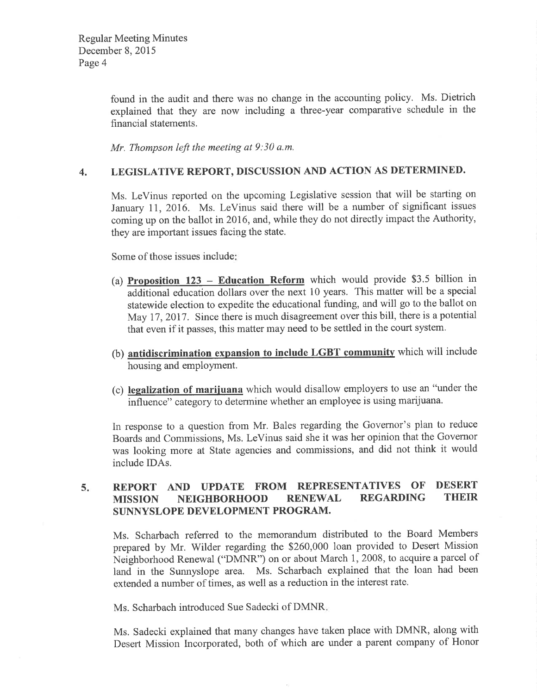found in the audit and there was no change in the accounting policy. Ms. Dietrich explained that they are now including a three-year comparative schedule in the financial statements.

Mr. Thompson left the meeting at 9:30 a.m.

# 4, LEGISLATIVE REPORT, DISCUSSION AND ACTION AS DETERMINED.

Ms. LeVinus reported on the upcoming Legislative session that will be starting on January 11, 2016. Ms. LeVinus said there will be a number of significant issues coming up on the ballot in2016, and, while they do not directly impact the Authority, they are important issues facing the state.

Some of those issues include

- (a) **Proposition 123 Education Reform** which would provide \$3.5 billion in additional education dollars over the next 10 years. This matter will be a special statewide election to expedite the educational funding, and will go to the ballot on May 17, 2017. Since there is much disagreement over this bill, there is a potential that even if it passes, this matter may need to be settled in the court system.
- (b) antidiscrimination expansion to include LGBT community which will include housing and employment.
- (c) legalization of marijuana which would disallow employers to use an "under the influence" category to determine whether an employee is using marijuana.

In response to a question from Mr. Bales regarding the Governor's plan to reduce Boards and Commissions, Ms. LeVinus said she it was her opinion that the Governor was looking more at State agencies and commissions, and did not think it would include IDAs.

#### 5. REPORT AND UPDATE FROM REPRESENTATIVES OF<br>MISSION NEIGHBORHOOD RENEWAL REGARDING MISSION NEIGHBORHOOD RENEWAL SUNNYSLOPE DEVELOPMENT PROGRAM. DESERT THEIR

Ms. Scharbach referred to the memorandum distributed to the Board Members prepared by Mr. Wilder regarding the \$260,000 loan provided to Desert Mission Neighborhood Renewal ("DMNR") on or about March 1, 2008, to acquire a parcel of land in the Sunnyslope area. Ms. Scharbach explained that the loan had been çxtended a number of times, as well as a reduction in the interest rate.

Ms. Scharbach introduced Sue Sadecki of DMNR

Ms. Sadecki explained that many changes have taken place with DMNR, along with Desert Mission Incorporated, both of which are under a parcnt company of Honor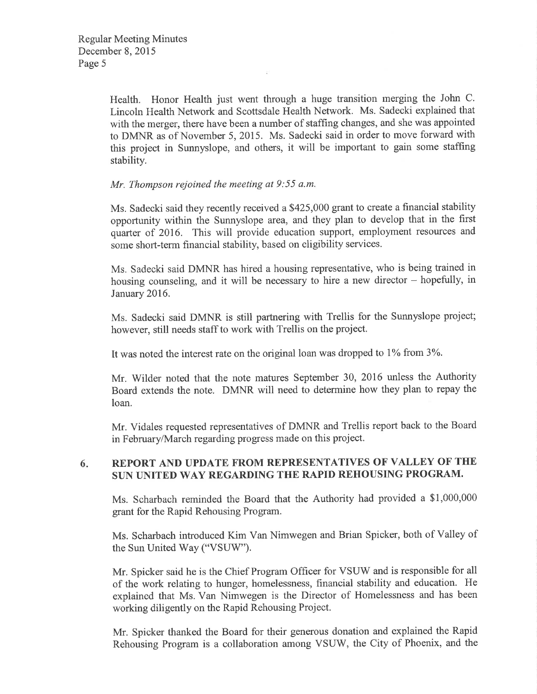Health. Honor Health just went through a huge transition merging the John C. Lincoln Health Network and Scottsdale Health Network. Ms. Sadecki explained that with the merger, there have been a number of staffing changes, and she was appointed to DMNR as of November 5, 2015. Ms. Sadecki said in order to move forward with this project in Sunnyslope, and others, it will be important to gain some staffing stability.

## Mr. Thompson rejoined the meeting at 9:55 a.m.

Ms. Sadecki said they recently received a \$425,000 grant to create a financial stability opportunity within the Sunnyslope area, and they plan to develop that in the first quarter of 2016. This will provide education support, employment resources and some short-term financial stability, based on eligibility services.

Ms. Sadecki said DMNR has hired a housing representative, who is being trained in housing counseling, and it will be necessary to hire a new director - hopefully, in January 2016.

Ms. Sadecki said DMNR is still partnering with Trellis for the Sunnyslope project; however, still needs staff to work with Trellis on the project.

It was noted the interest rate on the original loan was dropped to  $1\%$  from  $3\%$ .

Mr. Wilder noted that the note matures September 30, 2016 unless the Authority Board extends the note. DMNR will need to determine how they plan to repay the loan.

Mr. Vidales requested representatives of DMNR and Trellis report back to the Board in February/March regarding progress made on this project.

#### 6 REPORT AND UPDATE FROM REPRESENTATIVES OF VALLEY OF THE SUN UNITED WAY REGARDING THE RAPID REHOUSING PROGRAM.

Ms. Scharbach reminded the Board that the Authority had provided a \$1,000,000 grant for the Rapid Rehousing Program.

Ms. Scharbach introduced Kim Van Nimwegen and Brian Spicker, both of Valley of the Sun United Way ("VSUW").

Mr. Spicker said he is the Chief Program Officer for VSUW and is responsible for all of the work relating to hunger, homelessness, financial stability and education. He explained that Ms. Van Nimwegen is the Director of Homelessness and has been working diligently on the Rapid Rehousing Project.

Mr. Spicker thanked the Board for their generous donation and explained the Rapid Rehousing Program is a collaboration among VSUW, the City of Phoenix, and the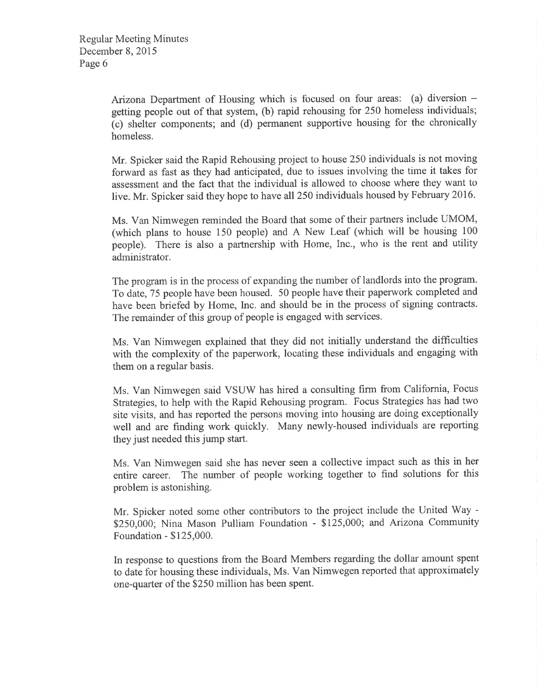Arízona Department of Housing which is focused on four areas: (a) diversion getting people out of that system, (b) rapid rehousing for 250 homeless individuals; (c) shelter components; and (d) permanent supportive housing for the chronically homeless.

Mr. Spicker said the Rapid Rehousing project to house 250 individuals is not moving forward as fast as they had anticipated, due to issues involving the time it takes for assessment and the fact that the individual is allowed to choose where they want to live.. Mr. Spicker said they hope to have all 250 individuals housed by February 2016.

Ms. Van Nimwegen reminded the Board that some of their partners include UMOM, (which plans to house 150 people) and A New Leaf (which will be housing <sup>100</sup> people). There is also a partnership with Home, Inc., who is the rent and utility administrator.

The program is in the process of expanding the number of landlords into the program. To date, 75 people have been housed. 50 people have their paperwork completed and have been briefed by Home, Inc. and should be in the process of signing contracts. The remainder of this group of people is engaged with services.

Ms. Van Nimwegen explained that they did not initially understand the difficulties with the complexity of the paperwork, locating these individuals and engaging with them on a regular basis.

Ms. Van Nimwegen said VSUW has hired a consulting firm from California, Focus Strategies, to help with the Rapid Rehousing program. Focus Strategies has had two site visits, and has reported the persons moving into housing are doing exceptionally well and are finding work quickly. Many newly-housed individuals are reporting they just needed this jump start.

Ms. Van Nimwegen said she has never seen a collective impact such as this in her entire career. The number of people working together to find solutions for this problem is astonishing.

Mr. Spicker noted some other contributors to the project include the United Way - \$250,000; Nina Mason Pulliam Foundation - \$125,000; and Atizona Community Foundation - \$125,000.

In response to questions from the Board Members regarding the dollar amount spent to date for housing these individuals, Ms. Van Nimwegen reported that approximately one-quarter of the \$250 million has been spent.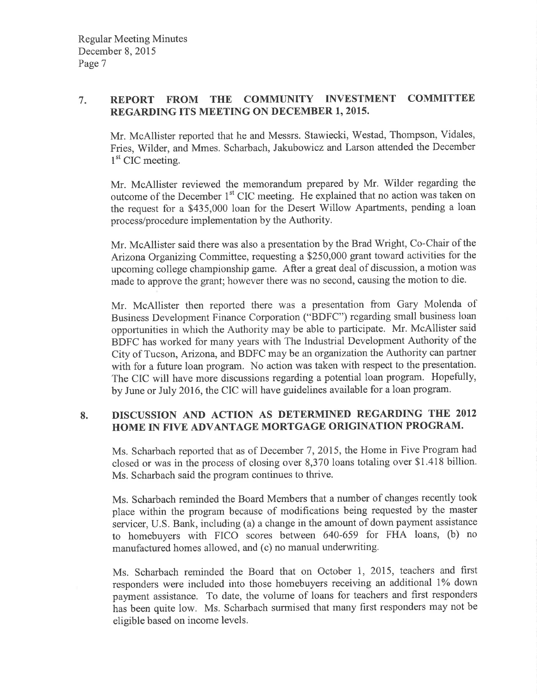# <sup>7</sup> REPORT FROM THE COMMUNITY INVESTMENT COMMITTEE REGARDING ITS MEETING ON DECEMBER I,2OI5.

Mr. McAllister reported that he and Messrs. Stawiecki, Westad, Thompson, Vidales, Fries, Wilder, and Mmes. Scharbach, Jakubowicz and Larson attended the December 1<sup>st</sup> CIC meeting.

Mr. McAllister reviewed the memorandum prepared by Mr. Wilder regarding the outcome of the December  $1<sup>st</sup>$  CIC meeting. He explained that no action was taken on the request for a \$435,000 loan for the Desert Willow Apartments, pending a loan process/procedure implementation by the Authority.

Mr. McAllister said there was also a presentation by the Brad Wright, Co-Chair of the Arizona Organizing Committee, requesting a \$250,000 grant toward activities for the upcoming college championship game. After a great deal of discussion, a motion was made to approve the grant; however there was no second, causing the motion to die.

Mr. McAllister then reported there was a presentation from Gary Molenda of Business Development Finance Corporation ("BDFC") regarding small business loan opportunities in which the Authority may be able to participate. Mr. McAllister said BDFC has worked for many years with The Industrial Development Authority of the City of Tucson, Arizona, and BDFC may be anorganization the Authority can partner with for a future loan program. No action was taken with respect to the presentation. The CIC will have more discussions regarding a potential loan program. Hopefully, by June or July 2016, the CIC will have guidelines available for a loan program.

#### DISCUSSION AND ACTION AS DETERMINED REGARDING THE <sup>2012</sup> HOME IN FIVE ADVANTAGE MORTGAGE ORIGINATION PROGRAM. 8.

Ms. Scharbach reported that as of December 7,2015, the Home in Five Program had closed or was in the process of closing over 8,370 loans totaling over \$1.418 billion' Ms. Scharbach said the program continues to thrive.

Ms. Scharbach reminded the Board Members that a number of changes recently took place within the program because of modifications being requested by the master servicer, U.S. Bank, including (a) a change in the amount of down payment assistance to homebuyers with FICO scores between 640-659 for FHA loans, (b) no manufactured homes allowed, and (c) no manual underwriting.

Ms. Scharbach reminded the Board that on October l, 2015, teachers and first responders were included into those homebuyers receiving an additional 1% down payment assistance. To date, the volume of loans for teachers and first responders has been quite low. Ms. Scharbach surmised that many first responders may not be eligible based on income levels.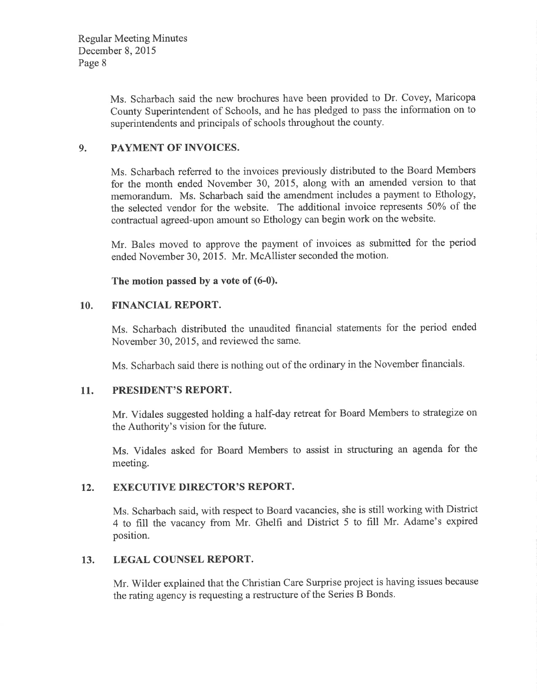Regular Meeting Minutes December 8, 2015 Page 8

> Ms. Scharbach said the new brochures have been provided to Dr. Covey, Maricopa County Superintendent of Schools, and he has pledged to pass the information on to superintendents and principals of schools throughout the county.

# 9. PAYMENT OF INVOICES.

Ms. Scharbach referred to the invoices previously distributed to the Board Members for the month ended November 30, 2015, along with an amended version to that memorandum. Ms. Scharbach said the amendment includes a payment to Ethology, the selected vendor for the website. The additional invoice represents 50% of the contractual agreed-upon amount so Ethology can begin work on the website.

Mr. Bales moved to approve the payment of invoices as submitted for the period ended November 30,2015. Mr. McAllister seconded the motion.

## The motion passed by a vote of (6-0).

#### 10. FINANCIAL REPORT.

Ms. Scharbach distributed the unaudited financial statements for the period ended November 30,2015, and reviewed the same.

Ms. Scharbach said there is nothing out of the ordinary in the November financials.

#### 11. PRESIDENT'S REPORT.

Mr. Vidales suggested holding a half-day retreat for Board Members to strategize on the Authority's vision for the future.

Ms. Vidales asked for Board Members to assist in structuring an agenda for the meeting.

#### 12. EXECUTIVE DIRECTOR'S REPORT.

Ms. Scharbach said, with respect to Board vacancies, she is still working with District 4 to fill the vacancy from Mr. Ghelfi and District 5 to hll Mr. Adame's expired position.

## 13. LEGAL COUNSEL REPORT.

Mr. Wilder explained that the Christian Care Surprise project is having issues because the rating agency is requesting a restructure of the Series B Bonds.